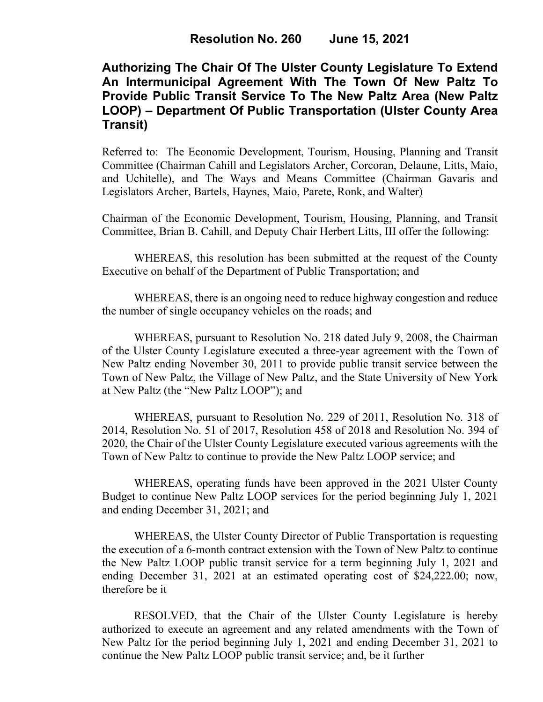# **Authorizing The Chair Of The Ulster County Legislature To Extend An Intermunicipal Agreement With The Town Of New Paltz To Provide Public Transit Service To The New Paltz Area (New Paltz LOOP) – Department Of Public Transportation (Ulster County Area Transit)**

Referred to: The Economic Development, Tourism, Housing, Planning and Transit Committee (Chairman Cahill and Legislators Archer, Corcoran, Delaune, Litts, Maio, and Uchitelle), and The Ways and Means Committee (Chairman Gavaris and Legislators Archer, Bartels, Haynes, Maio, Parete, Ronk, and Walter)

Chairman of the Economic Development, Tourism, Housing, Planning, and Transit Committee, Brian B. Cahill, and Deputy Chair Herbert Litts, III offer the following:

WHEREAS, this resolution has been submitted at the request of the County Executive on behalf of the Department of Public Transportation; and

WHEREAS, there is an ongoing need to reduce highway congestion and reduce the number of single occupancy vehicles on the roads; and

WHEREAS, pursuant to Resolution No. 218 dated July 9, 2008, the Chairman of the Ulster County Legislature executed a three-year agreement with the Town of New Paltz ending November 30, 2011 to provide public transit service between the Town of New Paltz, the Village of New Paltz, and the State University of New York at New Paltz (the "New Paltz LOOP"); and

WHEREAS, pursuant to Resolution No. 229 of 2011, Resolution No. 318 of 2014, Resolution No. 51 of 2017, Resolution 458 of 2018 and Resolution No. 394 of 2020, the Chair of the Ulster County Legislature executed various agreements with the Town of New Paltz to continue to provide the New Paltz LOOP service; and

WHEREAS, operating funds have been approved in the 2021 Ulster County Budget to continue New Paltz LOOP services for the period beginning July 1, 2021 and ending December 31, 2021; and

WHEREAS, the Ulster County Director of Public Transportation is requesting the execution of a 6-month contract extension with the Town of New Paltz to continue the New Paltz LOOP public transit service for a term beginning July 1, 2021 and ending December 31, 2021 at an estimated operating cost of \$24,222.00; now, therefore be it

RESOLVED, that the Chair of the Ulster County Legislature is hereby authorized to execute an agreement and any related amendments with the Town of New Paltz for the period beginning July 1, 2021 and ending December 31, 2021 to continue the New Paltz LOOP public transit service; and, be it further